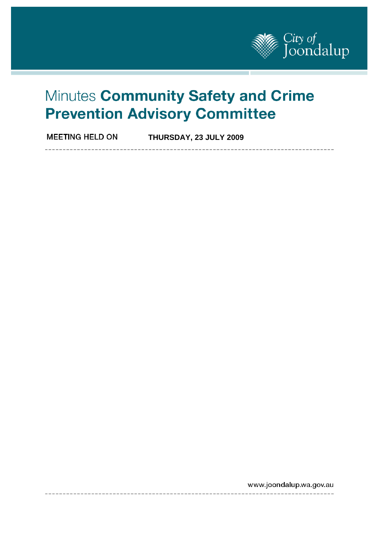

\_\_\_\_\_\_\_\_\_\_\_\_\_\_\_\_

# Minutes Community Safety and Crime **Prevention Advisory Committee**

**MEETING HELD ON THURSDAY, 23 JULY 2009** 

www.joondalup.wa.gov.au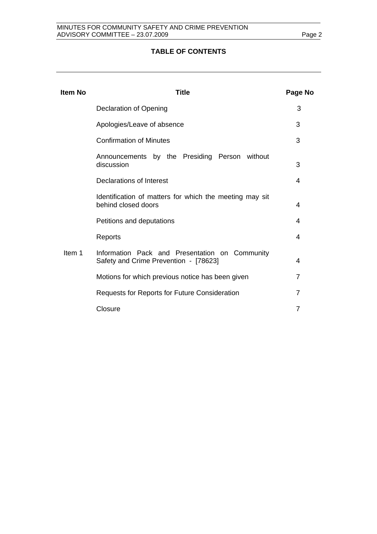#### **TABLE OF CONTENTS**

| <b>Item No</b> | Title                                                                                   | Page No        |
|----------------|-----------------------------------------------------------------------------------------|----------------|
|                | <b>Declaration of Opening</b>                                                           | 3              |
|                | Apologies/Leave of absence                                                              | 3              |
|                | <b>Confirmation of Minutes</b>                                                          | 3              |
|                | Announcements by the Presiding Person without<br>discussion                             | 3              |
|                | Declarations of Interest                                                                | 4              |
|                | Identification of matters for which the meeting may sit<br>behind closed doors          | 4              |
|                | Petitions and deputations                                                               | 4              |
|                | Reports                                                                                 | 4              |
| Item 1         | Information Pack and Presentation on Community<br>Safety and Crime Prevention - [78623] | 4              |
|                | Motions for which previous notice has been given                                        | $\overline{7}$ |
|                | Requests for Reports for Future Consideration                                           | 7              |
|                | Closure                                                                                 | 7              |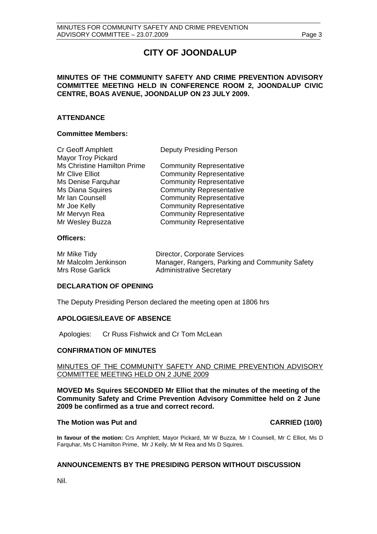# **CITY OF JOONDALUP**

#### **MINUTES OF THE COMMUNITY SAFETY AND CRIME PREVENTION ADVISORY COMMITTEE MEETING HELD IN CONFERENCE ROOM 2, JOONDALUP CIVIC CENTRE, BOAS AVENUE, JOONDALUP ON 23 JULY 2009.**

#### **ATTENDANCE**

#### **Committee Members:**

| Cr Geoff Amphlett           | <b>Deputy Presiding Person</b>  |
|-----------------------------|---------------------------------|
| <b>Mayor Troy Pickard</b>   |                                 |
| Ms Christine Hamilton Prime | <b>Community Representative</b> |
| Mr Clive Elliot             | <b>Community Representative</b> |
| Ms Denise Farquhar          | <b>Community Representative</b> |
| Ms Diana Squires            | <b>Community Representative</b> |
| Mr Ian Counsell             | <b>Community Representative</b> |
| Mr Joe Kelly                | <b>Community Representative</b> |
| Mr Mervyn Rea               | <b>Community Representative</b> |
| Mr Wesley Buzza             | <b>Community Representative</b> |

#### **Officers:**

| Mr Mike Tidy         | Director, Corporate Services                   |
|----------------------|------------------------------------------------|
| Mr Malcolm Jenkinson | Manager, Rangers, Parking and Community Safety |
| Mrs Rose Garlick     | <b>Administrative Secretary</b>                |

#### **DECLARATION OF OPENING**

The Deputy Presiding Person declared the meeting open at 1806 hrs

#### **APOLOGIES/LEAVE OF ABSENCE**

Apologies: Cr Russ Fishwick and Cr Tom McLean

#### **CONFIRMATION OF MINUTES**

#### MINUTES OF THE COMMUNITY SAFETY AND CRIME PREVENTION ADVISORY COMMITTEE MEETING HELD ON 2 JUNE 2009

**MOVED Ms Squires SECONDED Mr Elliot that the minutes of the meeting of the Community Safety and Crime Prevention Advisory Committee held on 2 June 2009 be confirmed as a true and correct record.** 

#### The Motion was Put and **CARRIED** (10/0)

**In favour of the motion:** Crs Amphlett, Mayor Pickard, Mr W Buzza, Mr I Counsell, Mr C Elliot, Ms D Farquhar, Ms C Hamilton Prime, Mr J Kelly, Mr M Rea and Ms D Squires.

#### **ANNOUNCEMENTS BY THE PRESIDING PERSON WITHOUT DISCUSSION**

Nil.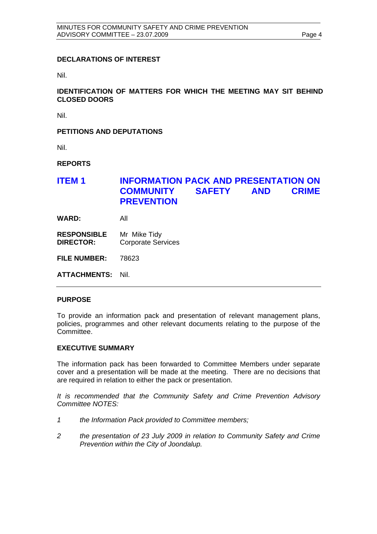#### **DECLARATIONS OF INTEREST**

Nil.

#### **IDENTIFICATION OF MATTERS FOR WHICH THE MEETING MAY SIT BEHIND CLOSED DOORS**

Nil.

#### **PETITIONS AND DEPUTATIONS**

Nil.

**REPORTS** 

## **ITEM 1 INFORMATION PACK AND PRESENTATION ON COMMUNITY SAFETY AND CRIME PREVENTION**

**WARD:** All

**RESPONSIBLE** Mr Mike Tidy **DIRECTOR:** Corporate Services

**FILE NUMBER:** 78623

**ATTACHMENTS:** Nil.

#### **PURPOSE**

To provide an information pack and presentation of relevant management plans, policies, programmes and other relevant documents relating to the purpose of the Committee.

#### **EXECUTIVE SUMMARY**

The information pack has been forwarded to Committee Members under separate cover and a presentation will be made at the meeting. There are no decisions that are required in relation to either the pack or presentation.

*It is recommended that the Community Safety and Crime Prevention Advisory Committee NOTES:* 

- *1 the Information Pack provided to Committee members;*
- *2 the presentation of 23 July 2009 in relation to Community Safety and Crime Prevention within the City of Joondalup.*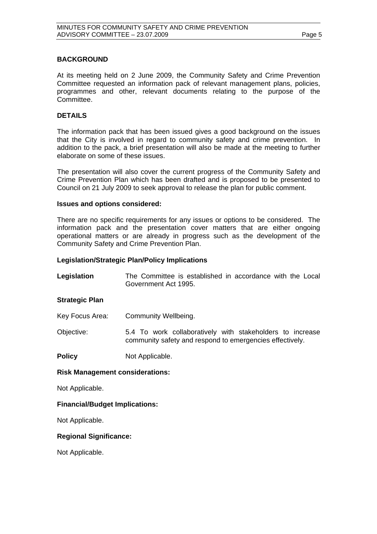#### **BACKGROUND**

At its meeting held on 2 June 2009, the Community Safety and Crime Prevention Committee requested an information pack of relevant management plans, policies, programmes and other, relevant documents relating to the purpose of the Committee.

#### **DETAILS**

The information pack that has been issued gives a good background on the issues that the City is involved in regard to community safety and crime prevention. In addition to the pack, a brief presentation will also be made at the meeting to further elaborate on some of these issues.

The presentation will also cover the current progress of the Community Safety and Crime Prevention Plan which has been drafted and is proposed to be presented to Council on 21 July 2009 to seek approval to release the plan for public comment.

#### **Issues and options considered:**

There are no specific requirements for any issues or options to be considered. The information pack and the presentation cover matters that are either ongoing operational matters or are already in progress such as the development of the Community Safety and Crime Prevention Plan.

#### **Legislation/Strategic Plan/Policy Implications**

| Legislation | The Committee is established in accordance with the Local |  |  |  |  |
|-------------|-----------------------------------------------------------|--|--|--|--|
|             | Government Act 1995.                                      |  |  |  |  |

#### **Strategic Plan**

Key Focus Area: Community Wellbeing.

Objective: 5.4 To work collaboratively with stakeholders to increase community safety and respond to emergencies effectively.

**Policy** Not Applicable.

#### **Risk Management considerations:**

Not Applicable.

#### **Financial/Budget Implications:**

Not Applicable.

#### **Regional Significance:**

Not Applicable.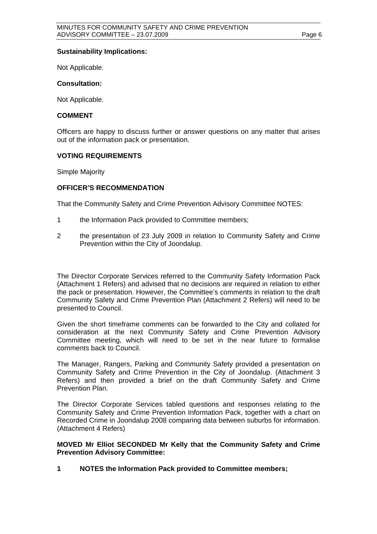#### **Sustainability Implications:**

Not Applicable.

#### **Consultation:**

Not Applicable.

#### **COMMENT**

Officers are happy to discuss further or answer questions on any matter that arises out of the information pack or presentation.

#### **VOTING REQUIREMENTS**

Simple Majority

#### **OFFICER'S RECOMMENDATION**

That the Community Safety and Crime Prevention Advisory Committee NOTES:

- 1 the Information Pack provided to Committee members;
- 2 the presentation of 23 July 2009 in relation to Community Safety and Crime Prevention within the City of Joondalup.

The Director Corporate Services referred to the Community Safety Information Pack (Attachment 1 Refers) and advised that no decisions are required in relation to either the pack or presentation. However, the Committee's comments in relation to the draft Community Safety and Crime Prevention Plan (Attachment 2 Refers) will need to be presented to Council.

Given the short timeframe comments can be forwarded to the City and collated for consideration at the next Community Safety and Crime Prevention Advisory Committee meeting, which will need to be set in the near future to formalise comments back to Council.

The Manager, Rangers, Parking and Community Safety provided a presentation on Community Safety and Crime Prevention in the City of Joondalup. (Attachment 3 Refers) and then provided a brief on the draft Community Safety and Crime Prevention Plan.

The Director Corporate Services tabled questions and responses relating to the Community Safety and Crime Prevention Information Pack, together with a chart on Recorded Crime in Joondalup 2008 comparing data between suburbs for information. (Attachment 4 Refers)

#### **MOVED Mr Elliot SECONDED Mr Kelly that the Community Safety and Crime Prevention Advisory Committee:**

**1 NOTES the Information Pack provided to Committee members;**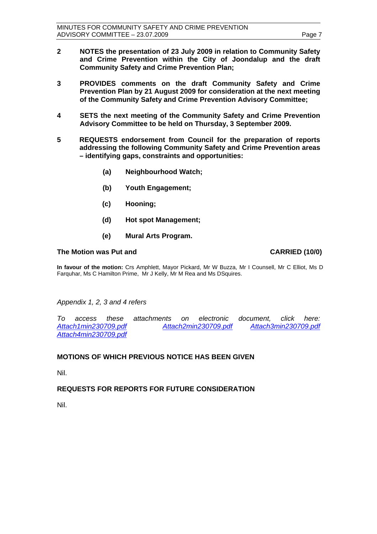- **2 NOTES the presentation of 23 July 2009 in relation to Community Safety and Crime Prevention within the City of Joondalup and the draft Community Safety and Crime Prevention Plan;**
- **3 PROVIDES comments on the draft Community Safety and Crime Prevention Plan by 21 August 2009 for consideration at the next meeting of the Community Safety and Crime Prevention Advisory Committee;**
- **4 SETS the next meeting of the Community Safety and Crime Prevention Advisory Committee to be held on Thursday, 3 September 2009.**
- **5 REQUESTS endorsement from Council for the preparation of reports addressing the following Community Safety and Crime Prevention areas – identifying gaps, constraints and opportunities:** 
	- **(a) Neighbourhood Watch;**
	- **(b) Youth Engagement;**
	- **(c) Hooning;**
	- **(d) Hot spot Management;**
	- **(e) Mural Arts Program.**

#### The Motion was Put and **CARRIED** (10/0)

**In favour of the motion:** Crs Amphlett, Mayor Pickard, Mr W Buzza, Mr I Counsell, Mr C Elliot, Ms D Farquhar, Ms C Hamilton Prime, Mr J Kelly, Mr M Rea and Ms DSquires.

*Appendix 1, 2, 3 and 4 refers* 

*To access these attachments on electronic document, click here: <Attach1min230709.pdf><Attach2min230709.pdf> <Attach3min230709.pdf> <Attach4min230709.pdf>*

### **MOTIONS OF WHICH PREVIOUS NOTICE HAS BEEN GIVEN**

Nil.

### **REQUESTS FOR REPORTS FOR FUTURE CONSIDERATION**

Nil.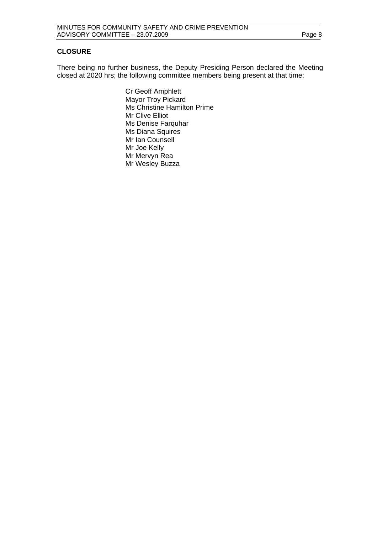#### **CLOSURE**

There being no further business, the Deputy Presiding Person declared the Meeting closed at 2020 hrs; the following committee members being present at that time:

> Cr Geoff Amphlett Mayor Troy Pickard Ms Christine Hamilton Prime Mr Clive Elliot Ms Denise Farquhar Ms Diana Squires Mr Ian Counsell Mr Joe Kelly Mr Mervyn Rea Mr Wesley Buzza